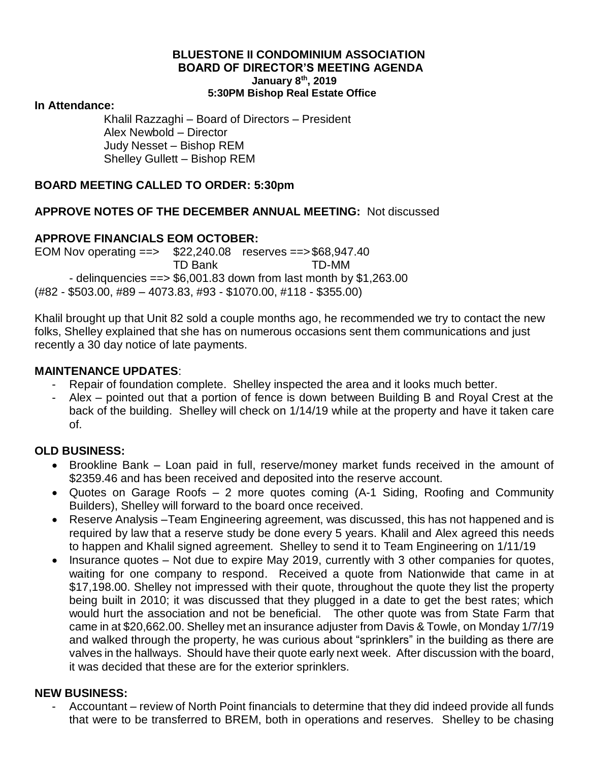#### **BLUESTONE II CONDOMINIUM ASSOCIATION BOARD OF DIRECTOR'S MEETING AGENDA January 8th, 2019 5:30PM Bishop Real Estate Office**

#### **In Attendance:**

Khalil Razzaghi – Board of Directors – President Alex Newbold – Director Judy Nesset – Bishop REM Shelley Gullett – Bishop REM

## **BOARD MEETING CALLED TO ORDER: 5:30pm**

## **APPROVE NOTES OF THE DECEMBER ANNUAL MEETING:** Not discussed

## **APPROVE FINANCIALS EOM OCTOBER:**

EOM Nov operating ==> \$22,240.08 reserves ==>\$68,947.40 TD Bank TD-MM - delinquencies == $> $6,001.83$  down from last month by \$1,263.00 (#82 - \$503.00, #89 – 4073.83, #93 - \$1070.00, #118 - \$355.00)

Khalil brought up that Unit 82 sold a couple months ago, he recommended we try to contact the new folks, Shelley explained that she has on numerous occasions sent them communications and just recently a 30 day notice of late payments.

### **MAINTENANCE UPDATES**:

- Repair of foundation complete. Shelley inspected the area and it looks much better.
- Alex pointed out that a portion of fence is down between Building B and Royal Crest at the back of the building. Shelley will check on 1/14/19 while at the property and have it taken care of.

# **OLD BUSINESS:**

- Brookline Bank Loan paid in full, reserve/money market funds received in the amount of \$2359.46 and has been received and deposited into the reserve account.
- Quotes on Garage Roofs 2 more quotes coming (A-1 Siding, Roofing and Community Builders), Shelley will forward to the board once received.
- Reserve Analysis –Team Engineering agreement, was discussed, this has not happened and is required by law that a reserve study be done every 5 years. Khalil and Alex agreed this needs to happen and Khalil signed agreement. Shelley to send it to Team Engineering on 1/11/19
- Insurance quotes Not due to expire May 2019, currently with 3 other companies for quotes, waiting for one company to respond. Received a quote from Nationwide that came in at \$17,198.00. Shelley not impressed with their quote, throughout the quote they list the property being built in 2010; it was discussed that they plugged in a date to get the best rates; which would hurt the association and not be beneficial. The other quote was from State Farm that came in at \$20,662.00. Shelley met an insurance adjuster from Davis & Towle, on Monday 1/7/19 and walked through the property, he was curious about "sprinklers" in the building as there are valves in the hallways. Should have their quote early next week. After discussion with the board, it was decided that these are for the exterior sprinklers.

### **NEW BUSINESS:**

Accountant – review of North Point financials to determine that they did indeed provide all funds that were to be transferred to BREM, both in operations and reserves. Shelley to be chasing